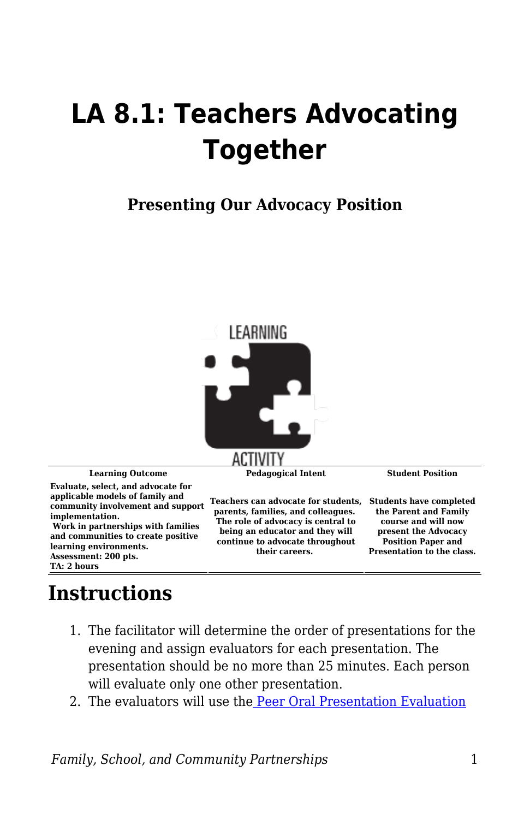## **LA 8.1: Teachers Advocating Together**

## **Presenting Our Advocacy Position**



## **Instructions**

- 1. The facilitator will determine the order of presentations for the evening and assign evaluators for each presentation. The presentation should be no more than 25 minutes. Each person will evaluate only one other presentation.
- 2. The evaluators will use th[e Peer Oral Presentation Evaluation](https://byu.box.com/s/3hln0i3c1sg1kh71tnqfruaoov5yenct)

*Family, School, and Community Partnerships* 1